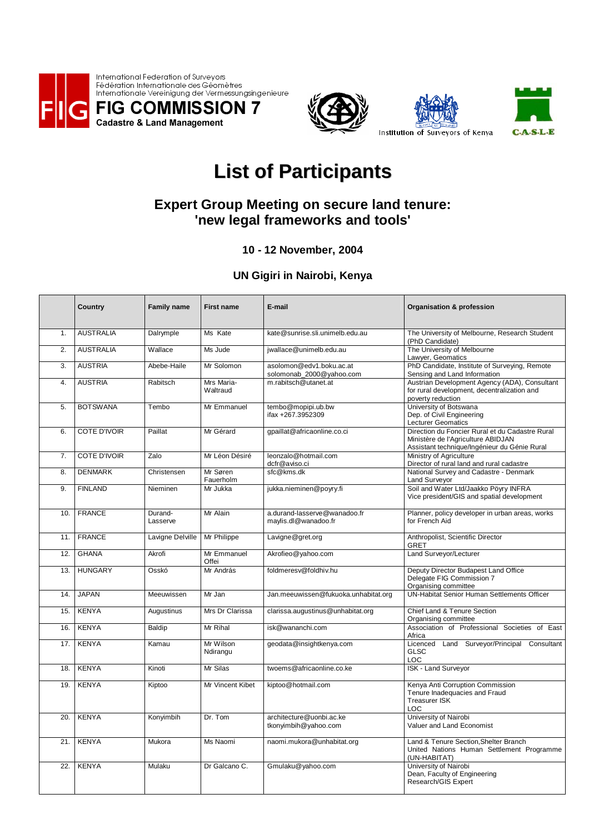







Institution of Surveyors of Kenya

## **List of Participants**

## **Expert Group Meeting on secure land tenure: 'new legal frameworks and tools'**

## **10 - 12 November, 2004**

## **UN Gigiri in Nairobi, Kenya**

|     | Country             | <b>Family name</b>  | <b>First name</b>      | E-mail                                               | <b>Organisation &amp; profession</b>                                                                                                  |
|-----|---------------------|---------------------|------------------------|------------------------------------------------------|---------------------------------------------------------------------------------------------------------------------------------------|
| 1.  | <b>AUSTRALIA</b>    | Dalrymple           | Ms Kate                | kate@sunrise.sli.unimelb.edu.au                      | The University of Melbourne, Research Student<br>(PhD Candidate)                                                                      |
| 2.  | <b>AUSTRALIA</b>    | Wallace             | Ms Jude                | jwallace@unimelb.edu.au                              | The University of Melbourne<br>Lawyer, Geomatics                                                                                      |
| 3.  | <b>AUSTRIA</b>      | Abebe-Haile         | Mr Solomon             | asolomon@edv1.boku.ac.at<br>solomonab_2000@yahoo.com | PhD Candidate, Institute of Surveying, Remote<br>Sensing and Land Information                                                         |
| 4.  | <b>AUSTRIA</b>      | Rabitsch            | Mrs Maria-<br>Waltraud | m.rabitsch@utanet.at                                 | Austrian Development Agency (ADA), Consultant<br>for rural development, decentralization and<br>poverty reduction                     |
| 5.  | <b>BOTSWANA</b>     | Tembo               | Mr Emmanuel            | tembo@mopipi.ub.bw<br>ifax +267.3952309              | University of Botswana<br>Dep. of Civil Engineering<br><b>Lecturer Geomatics</b>                                                      |
| 6.  | <b>COTE D'IVOIR</b> | Paillat             | Mr Gérard              | gpaillat@africaonline.co.ci                          | Direction du Foncier Rural et du Cadastre Rural<br>Ministère de l'Agriculture ABIDJAN<br>Assistant technique/Ingénieur du Génie Rural |
| 7.  | <b>COTE D'IVOIR</b> | Zalo                | Mr Léon Désiré         | leonzalo@hotmail.com<br>dcfr@aviso.ci                | Ministry of Agriculture<br>Director of rural land and rural cadastre                                                                  |
| 8.  | <b>DENMARK</b>      | Christensen         | Mr Søren<br>Fauerholm  | sfc@kms.dk                                           | National Survey and Cadastre - Denmark<br>Land Surveyor                                                                               |
| 9.  | <b>FINLAND</b>      | Nieminen            | Mr Jukka               | jukka.nieminen@poyry.fi                              | Soil and Water Ltd/Jaakko Pöyry INFRA<br>Vice president/GIS and spatial development                                                   |
| 10. | <b>FRANCE</b>       | Durand-<br>Lasserve | Mr Alain               | a.durand-lasserve@wanadoo.fr<br>maylis.dl@wanadoo.fr | Planner, policy developer in urban areas, works<br>for French Aid                                                                     |
| 11. | <b>FRANCE</b>       | Lavigne Delville    | Mr Philippe            | Lavigne@gret.org                                     | Anthropolist, Scientific Director<br><b>GRET</b>                                                                                      |
| 12. | <b>GHANA</b>        | Akrofi              | Mr Emmanuel<br>Offei   | Akrofieo@yahoo.com                                   | Land Surveyor/Lecturer                                                                                                                |
| 13. | <b>HUNGARY</b>      | Osskó               | Mr András              | foldmeresv@foldhiv.hu                                | Deputy Director Budapest Land Office<br>Delegate FIG Commission 7<br>Organising committee                                             |
| 14. | <b>JAPAN</b>        | Meeuwissen          | Mr Jan                 | Jan.meeuwissen@fukuoka.unhabitat.org                 | UN-Habitat Senior Human Settlements Officer                                                                                           |
| 15. | <b>KENYA</b>        | Augustinus          | Mrs Dr Clarissa        | clarissa.augustinus@unhabitat.org                    | Chief Land & Tenure Section<br>Organising committee                                                                                   |
| 16. | <b>KENYA</b>        | Baldip              | Mr Rihal               | isk@wananchi.com                                     | Association of Professional Societies of East<br>Africa                                                                               |
| 17. | <b>KENYA</b>        | Kamau               | Mr Wilson<br>Ndirangu  | geodata@insightkenya.com                             | Licenced Land Surveyor/Principal Consultant<br><b>GLSC</b><br>LOC                                                                     |
| 18. | <b>KENYA</b>        | Kinoti              | Mr Silas               | twoems@africaonline.co.ke                            | <b>ISK - Land Surveyor</b>                                                                                                            |
| 19. | <b>KENYA</b>        | Kiptoo              | Mr Vincent Kibet       | kiptoo@hotmail.com                                   | Kenya Anti Corruption Commission<br>Tenure Inadequacies and Fraud<br>Treasurer ISK<br>LOC                                             |
| 20. | <b>KENYA</b>        | Konyimbih           | Dr. Tom                | architecture@uonbi.ac.ke<br>tkonyimbih@yahoo.com     | University of Nairobi<br>Valuer and Land Economist                                                                                    |
| 21. | <b>KENYA</b>        | Mukora              | Ms Naomi               | naomi.mukora@unhabitat.org                           | Land & Tenure Section, Shelter Branch<br>United Nations Human Settlement Programme<br>(UN-HABITAT)                                    |
| 22. | <b>KENYA</b>        | Mulaku              | Dr Galcano C.          | Gmulaku@yahoo.com                                    | University of Nairobi<br>Dean, Faculty of Engineering<br>Research/GIS Expert                                                          |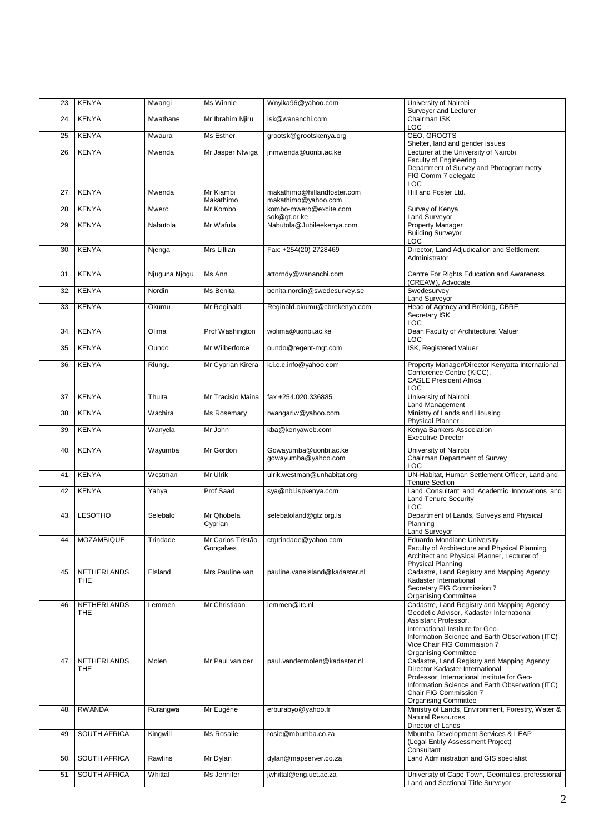| 23. | <b>KENYA</b>              | Mwangi        | Ms Winnie                      | Wnyika96@yahoo.com                                 | University of Nairobi<br>Surveyor and Lecturer                                                                                                                                                                                                                      |
|-----|---------------------------|---------------|--------------------------------|----------------------------------------------------|---------------------------------------------------------------------------------------------------------------------------------------------------------------------------------------------------------------------------------------------------------------------|
| 24. | <b>KENYA</b>              | Mwathane      | Mr Ibrahim Njiru               | isk@wananchi.com                                   | Chairman ISK<br><b>LOC</b>                                                                                                                                                                                                                                          |
| 25. | <b>KENYA</b>              | Mwaura        | Ms Esther                      | grootsk@grootskenya.org                            | CEO, GROOTS<br>Shelter, land and gender issues                                                                                                                                                                                                                      |
| 26. | <b>KENYA</b>              | Mwenda        | Mr Jasper Ntwiga               | jnmwenda@uonbi.ac.ke                               | Lecturer at the University of Nairobi<br><b>Faculty of Engineering</b><br>Department of Survey and Photogrammetry<br>FIG Comm 7 delegate<br>LOC                                                                                                                     |
| 27. | <b>KENYA</b>              | Mwenda        | Mr Kiambi<br>Makathimo         | makathimo@hillandfoster.com<br>makathimo@yahoo.com | Hill and Foster Ltd.                                                                                                                                                                                                                                                |
| 28. | <b>KENYA</b>              | Mwero         | Mr Kombo                       | kombo-mwero@excite.com<br>sok@gt.or.ke             | Survey of Kenya<br>Land Surveyor                                                                                                                                                                                                                                    |
| 29. | <b>KENYA</b>              | Nabutola      | Mr Wafula                      | Nabutola@Jubileekenya.com                          | <b>Property Manager</b><br><b>Building Surveyor</b><br><b>LOC</b>                                                                                                                                                                                                   |
| 30. | <b>KENYA</b>              | Njenga        | Mrs Lillian                    | Fax: +254(20) 2728469                              | Director, Land Adjudication and Settlement<br>Administrator                                                                                                                                                                                                         |
| 31. | <b>KENYA</b>              | Njuguna Njogu | Ms Ann                         | attorndy@wananchi.com                              | Centre For Rights Education and Awareness<br>(CREAW), Advocate                                                                                                                                                                                                      |
| 32. | <b>KENYA</b>              | Nordin        | Ms Benita                      | benita.nordin@swedesurvey.se                       | Swedesurvey<br>Land Surveyor                                                                                                                                                                                                                                        |
| 33. | <b>KENYA</b>              | Okumu         | Mr Reginald                    | Reginald.okumu@cbrekenya.com                       | Head of Agency and Broking, CBRE<br>Secretary ISK<br><b>LOC</b>                                                                                                                                                                                                     |
| 34. | <b>KENYA</b>              | Olima         | Prof Washington                | wolima@uonbi.ac.ke                                 | Dean Faculty of Architecture: Valuer<br>LOC                                                                                                                                                                                                                         |
| 35. | KENYA                     | Oundo         | Mr Wilberforce                 | oundo@regent-mgt.com                               | ISK, Registered Valuer                                                                                                                                                                                                                                              |
| 36. | <b>KENYA</b>              | Riungu        | Mr Cyprian Kirera              | k.i.c.c.info@yahoo.com                             | Property Manager/Director Kenyatta International<br>Conference Centre (KICC),<br><b>CASLE President Africa</b><br>LOC                                                                                                                                               |
| 37. | <b>KENYA</b>              | Thuita        | Mr Tracisio Maina              | fax +254.020.336885                                | University of Nairobi<br>Land Management                                                                                                                                                                                                                            |
| 38. | <b>KENYA</b>              | Wachira       | Ms Rosemary                    | rwangariw@yahoo.com                                | Ministry of Lands and Housing<br><b>Physical Planner</b>                                                                                                                                                                                                            |
| 39. | <b>KENYA</b>              | Wanyela       | Mr John                        | kba@kenyaweb.com                                   | Kenya Bankers Association<br><b>Executive Director</b>                                                                                                                                                                                                              |
| 40. | <b>KENYA</b>              | Wayumba       | Mr Gordon                      | Gowayumba@uonbi.ac.ke<br>gowayumba@yahoo.com       | University of Nairobi<br>Chairman Department of Survey<br>LOC                                                                                                                                                                                                       |
| 41. | <b>KENYA</b>              | Westman       | Mr Ulrik                       | ulrik.westman@unhabitat.org                        | UN-Habitat, Human Settlement Officer, Land and<br><b>Tenure Section</b>                                                                                                                                                                                             |
| 42. | <b>KENYA</b>              | Yahya         | Prof Saad                      | sya@nbi.ispkenya.com                               | Land Consultant and Academic Innovations and<br><b>Land Tenure Security</b><br>LOC                                                                                                                                                                                  |
| 43. | <b>LESOTHO</b>            | Selebalo      | Mr Qhobela<br>Cyprian          | selebaloland@gtz.org.ls                            | Department of Lands, Surveys and Physical<br>Planning<br>Land Surveyor                                                                                                                                                                                              |
|     | 44. MOZAMBIQUE            | Trindade      | Mr Carlos Tristão<br>Gonçalves | ctgtrindade@yahoo.com                              | Eduardo Mondlane University<br>Faculty of Architecture and Physical Planning<br>Architect and Physical Planner, Lecturer of<br>Physical Planning                                                                                                                    |
| 45. | NETHERLANDS<br><b>THE</b> | Elsland       | Mrs Pauline van                | pauline.vanelsland@kadaster.nl                     | Cadastre, Land Registry and Mapping Agency<br>Kadaster International<br>Secretary FIG Commission 7<br><b>Organising Committee</b>                                                                                                                                   |
| 46. | NETHERLANDS<br><b>THE</b> | Lemmen        | Mr Christiaan                  | lemmen@itc.nl                                      | Cadastre, Land Registry and Mapping Agency<br>Geodetic Advisor, Kadaster International<br>Assistant Professor.<br>International Institute for Geo-<br>Information Science and Earth Observation (ITC)<br>Vice Chair FIG Commission 7<br><b>Organising Committee</b> |
| 47. | <b>NETHERLANDS</b><br>THE | Molen         | Mr Paul van der                | paul.vandermolen@kadaster.nl                       | Cadastre, Land Registry and Mapping Agency<br>Director Kadaster International<br>Professor, International Institute for Geo-<br>Information Science and Earth Observation (ITC)<br>Chair FIG Commission 7<br><b>Organising Committee</b>                            |
| 48. | <b>RWANDA</b>             | Rurangwa      | Mr Eugène                      | erburabyo@yahoo.fr                                 | Ministry of Lands, Environment, Forestry, Water &<br><b>Natural Resources</b>                                                                                                                                                                                       |
| 49. | <b>SOUTH AFRICA</b>       | Kingwill      | Ms Rosalie                     | rosie@mbumba.co.za                                 | Director of Lands<br>Mbumba Development Services & LEAP<br>(Legal Entity Assessment Project)<br>Consultant                                                                                                                                                          |
| 50. | <b>SOUTH AFRICA</b>       | Rawlins       | Mr Dylan                       | dylan@mapserver.co.za                              | Land Administration and GIS specialist                                                                                                                                                                                                                              |
| 51. | SOUTH AFRICA              | Whittal       | Ms Jennifer                    | jwhittal@eng.uct.ac.za                             | University of Cape Town, Geomatics, professional<br>Land and Sectional Title Surveyor                                                                                                                                                                               |